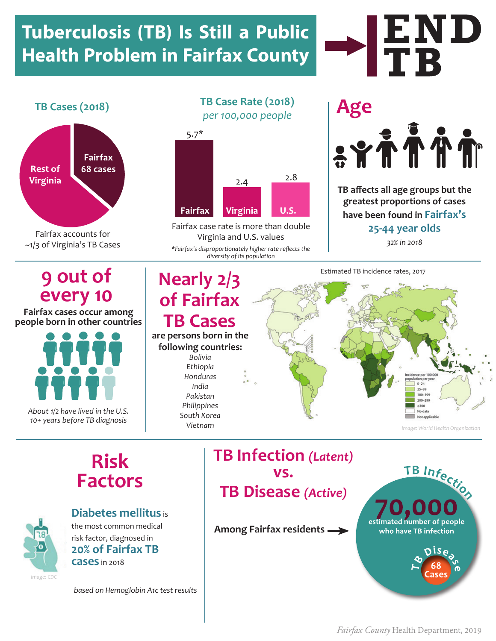### **Tuberculosis (TB) Is Still a Public Health Problem in Fairfax County**



Fairfax accounts for ~1/3 of Virginia's TB Cases

**TB Cases (2018) TB Case Rate (2018)** *per 100,000 people*



Fairfax case rate is more than double Virginia and U.S. values

*\*Fairfax's disproportionately higher rate reflects the diversity of its population* 

# **Age** SYTTTT

**END**<br>TB

**TB affects all age groups but the greatest proportions of cases have been found in Fairfax's 25-44 year olds**

*32% in 2018*

#### **9 out of every 10**

**Fairfax cases occur among people born in other countries**



*About 1/2 have lived in the U.S. 10+ years before TB diagnosis*

### **Nearly 2/3 of Fairfax**

#### **TB Cases are persons born in the**

#### **following countries:**  *Bolivia*

*Ethiopia Honduras India Pakistan Philippines South Korea Vietnam*

#### Estimated TB incidence rates, 2017  $0 - 24$ 100-199 200-299  $200$ No data Not applicable

*image: World Health Organization*

#### **Risk Factors**



**Diabetes mellitus** is the most common medical risk factor, diagnosed in **20% of Fairfax TB cases** in 2018

*based on Hemoglobin A1c test results*

**TB Infection** *(Latent)*  **vs. TB Disease** *(Active)* **Among Fairfax residents**



*Fairfax County* Health Department, 2019